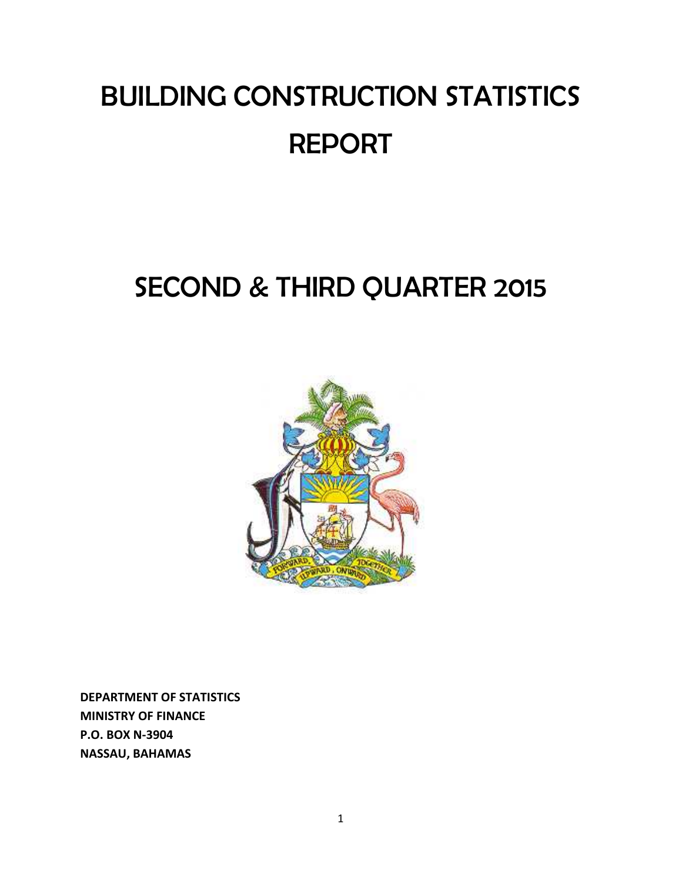# BUILDING CONSTRUCTION STATISTICS REPORT

## SECOND & THIRD QUARTER 2015



**DEPARTMENT OF STATISTICS MINISTRY OF FINANCE P.O. BOX N‐3904 NASSAU, BAHAMAS**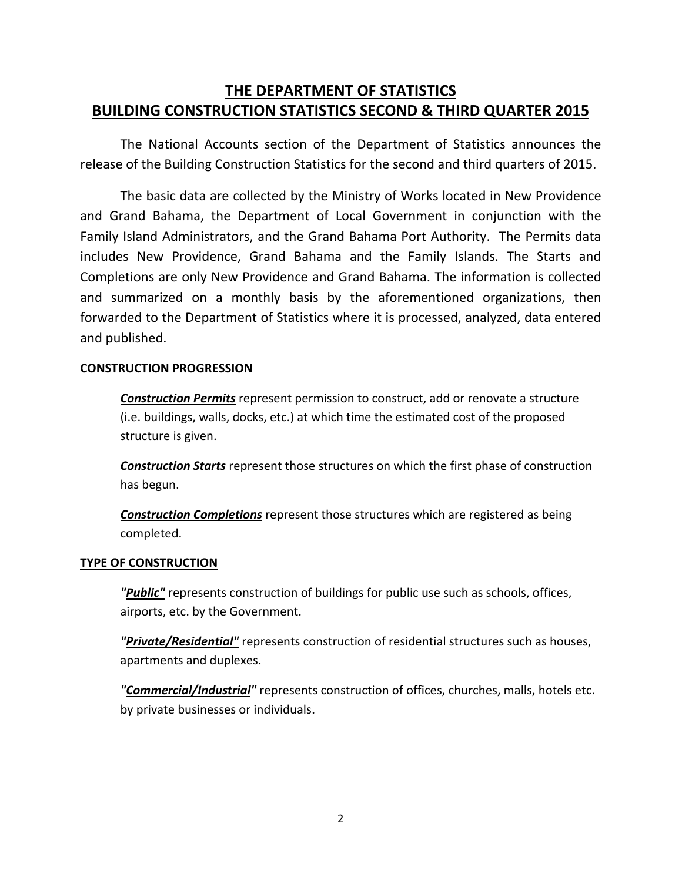## **THE DEPARTMENT OF STATISTICS BUILDING CONSTRUCTION STATISTICS SECOND & THIRD QUARTER 2015**

The National Accounts section of the Department of Statistics announces the release of the Building Construction Statistics for the second and third quarters of 2015.

The basic data are collected by the Ministry of Works located in New Providence and Grand Bahama, the Department of Local Government in conjunction with the Family Island Administrators, and the Grand Bahama Port Authority. The Permits data includes New Providence, Grand Bahama and the Family Islands. The Starts and Completions are only New Providence and Grand Bahama. The information is collected and summarized on a monthly basis by the aforementioned organizations, then forwarded to the Department of Statistics where it is processed, analyzed, data entered and published.

## **CONSTRUCTION PROGRESSION**

*Construction Permits* represent permission to construct, add or renovate a structure (i.e. buildings, walls, docks, etc.) at which time the estimated cost of the proposed structure is given.

*Construction Starts* represent those structures on which the first phase of construction has begun.

*Construction Completions* represent those structures which are registered as being completed.

## **TYPE OF CONSTRUCTION**

*"Public"* represents construction of buildings for public use such as schools, offices, airports, etc. by the Government.

*"Private/Residential"* represents construction of residential structures such as houses, apartments and duplexes.

*"Commercial/Industrial"* represents construction of offices, churches, malls, hotels etc. by private businesses or individuals.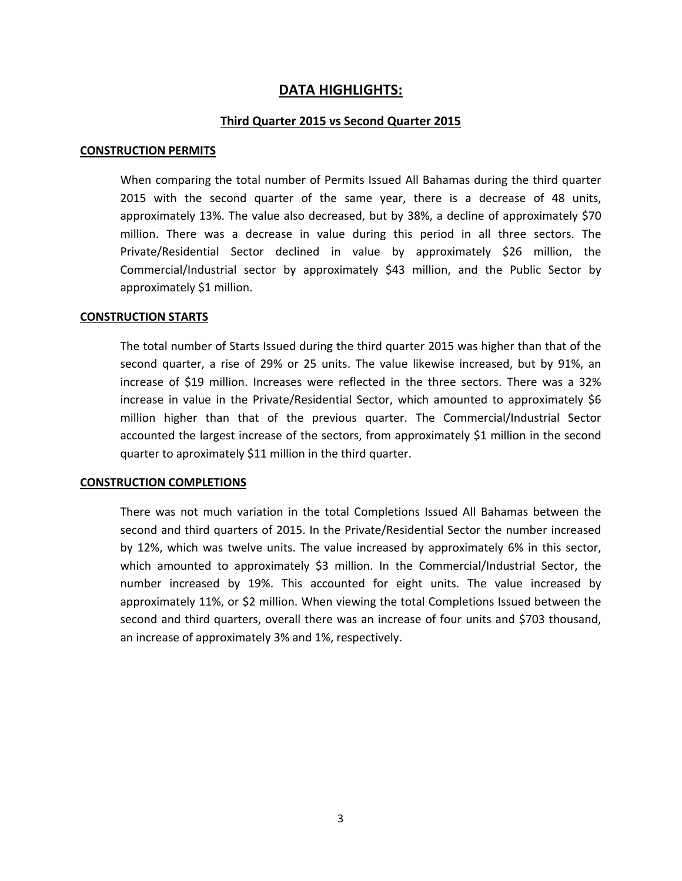## **DATA HIGHLIGHTS:**

#### **Third Quarter 2015 vs Second Quarter 2015**

#### **CONSTRUCTION PERMITS**

When comparing the total number of Permits Issued All Bahamas during the third quarter 2015 with the second quarter of the same year, there is a decrease of 48 units, approximately 13%. The value also decreased, but by 38%, a decline of approximately \$70 million. There was a decrease in value during this period in all three sectors. The Private/Residential Sector declined in value by approximately \$26 million, the Commercial/Industrial sector by approximately \$43 million, and the Public Sector by approximately \$1 million.

#### **CONSTRUCTION STARTS**

The total number of Starts Issued during the third quarter 2015 was higher than that of the second quarter, a rise of 29% or 25 units. The value likewise increased, but by 91%, an increase of \$19 million. Increases were reflected in the three sectors. There was a 32% increase in value in the Private/Residential Sector, which amounted to approximately \$6 million higher than that of the previous quarter. The Commercial/Industrial Sector accounted the largest increase of the sectors, from approximately \$1 million in the second quarter to aproximately \$11 million in the third quarter.

#### **CONSTRUCTION COMPLETIONS**

There was not much variation in the total Completions Issued All Bahamas between the second and third quarters of 2015. In the Private/Residential Sector the number increased by 12%, which was twelve units. The value increased by approximately 6% in this sector, which amounted to approximately \$3 million. In the Commercial/Industrial Sector, the number increased by 19%. This accounted for eight units. The value increased by approximately 11%, or \$2 million. When viewing the total Completions Issued between the second and third quarters, overall there was an increase of four units and \$703 thousand, an increase of approximately 3% and 1%, respectively.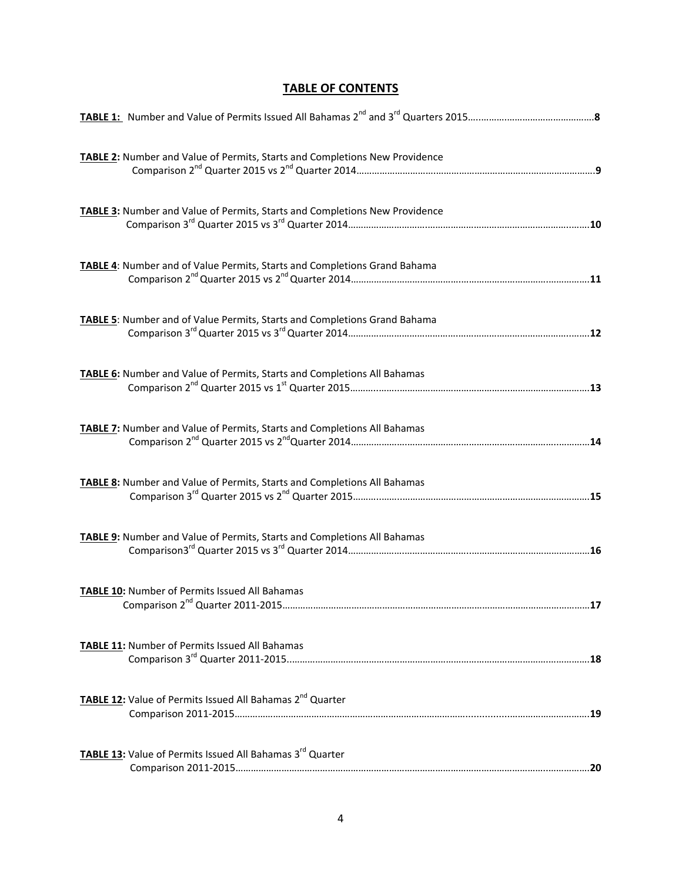## **TABLE OF CONTENTS**

| TABLE 2: Number and Value of Permits, Starts and Completions New Providence                     |     |
|-------------------------------------------------------------------------------------------------|-----|
| TABLE 3: Number and Value of Permits, Starts and Completions New Providence                     |     |
| TABLE 4: Number and of Value Permits, Starts and Completions Grand Bahama                       |     |
| TABLE 5: Number and of Value Permits, Starts and Completions Grand Bahama                       |     |
| TABLE 6: Number and Value of Permits, Starts and Completions All Bahamas                        |     |
| <b>TABLE 7:</b> Number and Value of Permits, Starts and Completions All Bahamas                 |     |
| TABLE 8: Number and Value of Permits, Starts and Completions All Bahamas                        |     |
| TABLE 9: Number and Value of Permits, Starts and Completions All Bahamas                        |     |
| TABLE 10: Number of Permits Issued All Bahamas<br>Comparison 2 <sup>nd</sup> Quarter 2011-2015. | .17 |
| TABLE 11: Number of Permits Issued All Bahamas                                                  |     |
| <b>TABLE 12:</b> Value of Permits Issued All Bahamas 2 <sup>nd</sup> Quarter                    |     |
| TABLE 13: Value of Permits Issued All Bahamas 3rd Quarter                                       |     |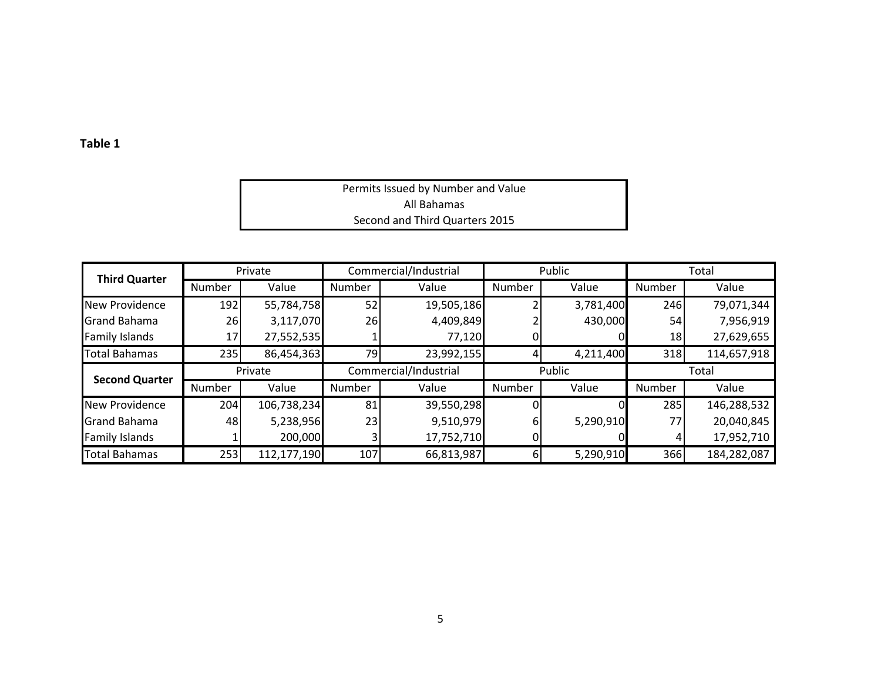| Permits Issued by Number and Value |  |
|------------------------------------|--|
| All Bahamas                        |  |
| Second and Third Quarters 2015     |  |

| <b>Third Quarter</b>                         |        | Private     |               | Commercial/Industrial |        | Public    |            | Total       |
|----------------------------------------------|--------|-------------|---------------|-----------------------|--------|-----------|------------|-------------|
|                                              | Number | Value       | <b>Number</b> | Value                 | Number | Value     | Number     | Value       |
| New Providence                               | 192    | 55,784,758  | 52            | 19,505,186            |        | 3,781,400 | 246        | 79,071,344  |
| <b>Grand Bahama</b>                          | 26     | 3,117,070   | 26            | 4,409,849             |        | 430,000   | 54         | 7,956,919   |
| <b>Family Islands</b>                        | 17     | 27,552,535  |               | 77,120                |        |           | 18         | 27,629,655  |
| <b>Total Bahamas</b>                         | 235    | 86,454,363  | 79            | 23,992,155            |        | 4,211,400 | 318        | 114,657,918 |
|                                              |        |             |               |                       |        |           |            |             |
|                                              |        | Private     |               | Commercial/Industrial |        | Public    |            | Total       |
| <b>Second Quarter</b>                        | Number | Value       | <b>Number</b> | Value                 | Number | Value     | Number     | Value       |
| New Providence                               | 204    | 106,738,234 | 81            | 39,550,298            |        |           | <b>285</b> | 146,288,532 |
|                                              | 48     | 5,238,956   | 23            | 9,510,979             |        | 5,290,910 | 77         | 20,040,845  |
| <b>Grand Bahama</b><br><b>Family Islands</b> |        | 200,000     |               | 17,752,710            |        |           |            | 17,952,710  |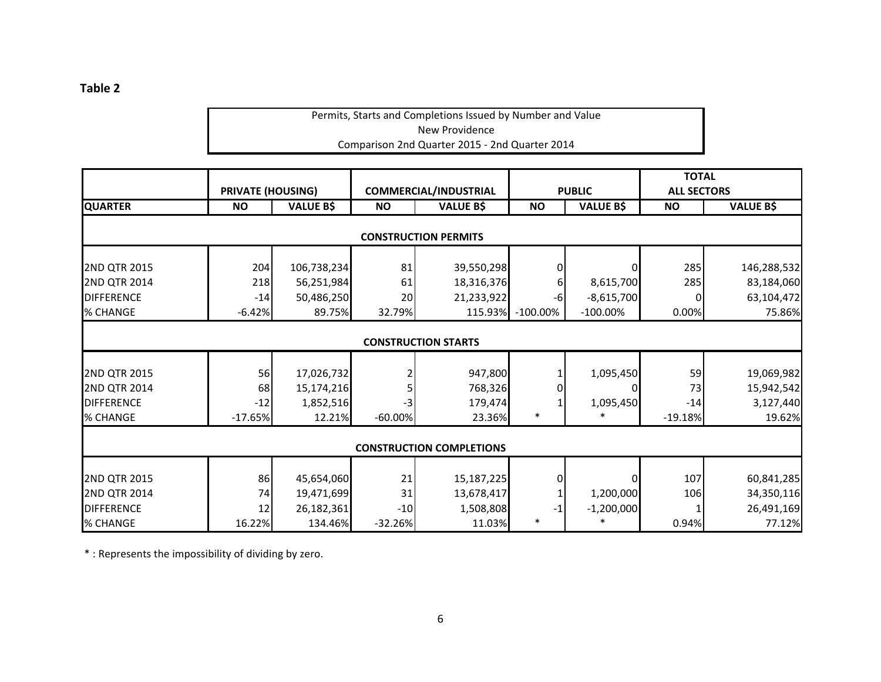## Permits, Starts and Completions Issued by Number and Value New Providence Comparison 2nd Quarter 2015 ‐ 2nd Quarter 2014

|                     | <b>PRIVATE (HOUSING)</b> |                  |            | <b>COMMERCIAL/INDUSTRIAL</b>    |             | <b>PUBLIC</b>    | <b>TOTAL</b><br><b>ALL SECTORS</b> |                  |
|---------------------|--------------------------|------------------|------------|---------------------------------|-------------|------------------|------------------------------------|------------------|
| <b>QUARTER</b>      | <b>NO</b>                | <b>VALUE B\$</b> | <b>NO</b>  | <b>VALUE B\$</b>                | <b>NO</b>   | <b>VALUE B\$</b> | <b>NO</b>                          | <b>VALUE B\$</b> |
|                     |                          |                  |            | <b>CONSTRUCTION PERMITS</b>     |             |                  |                                    |                  |
| 2ND QTR 2015        | 204                      | 106,738,234      | 81         | 39,550,298                      |             |                  | 285                                | 146,288,532      |
| <b>2ND QTR 2014</b> | 218                      | 56,251,984       | 61         | 18,316,376                      | 6           | 8,615,700        | 285                                | 83,184,060       |
| <b>DIFFERENCE</b>   | $-14$                    | 50,486,250       | 20         | 21,233,922                      | $-6$        | $-8,615,700$     | 0                                  | 63,104,472       |
| % CHANGE            | $-6.42%$                 | 89.75%           | 32.79%     | 115.93%                         | $-100.00\%$ | $-100.00\%$      | 0.00%                              | 75.86%           |
|                     |                          |                  |            | <b>CONSTRUCTION STARTS</b>      |             |                  |                                    |                  |
| 2ND QTR 2015        | 56                       | 17,026,732       |            | 947,800                         |             | 1,095,450        | 59                                 | 19,069,982       |
| 2ND QTR 2014        | 68                       | 15,174,216       |            | 768,326                         |             |                  | 73                                 | 15,942,542       |
| <b>DIFFERENCE</b>   | $-12$                    | 1,852,516        | $-3$       | 179,474                         |             | 1,095,450        | $-14$                              | 3,127,440        |
| % CHANGE            | $-17.65%$                | 12.21%           | $-60.00\%$ | 23.36%                          | $\ast$      |                  | $-19.18%$                          | 19.62%           |
|                     |                          |                  |            | <b>CONSTRUCTION COMPLETIONS</b> |             |                  |                                    |                  |
| 2ND QTR 2015        | 86                       | 45,654,060       | 21         | 15,187,225                      | 0           |                  | 107                                | 60,841,285       |
| <b>2ND QTR 2014</b> | 74                       | 19,471,699       | 31         | 13,678,417                      |             | 1,200,000        | 106                                | 34,350,116       |
| <b>DIFFERENCE</b>   | 12                       | 26,182,361       | $-10$      | 1,508,808                       | $-1$        | $-1,200,000$     |                                    | 26,491,169       |
| % CHANGE            | 16.22%                   | 134.46%          | $-32.26%$  | 11.03%                          |             |                  | 0.94%                              | 77.12%           |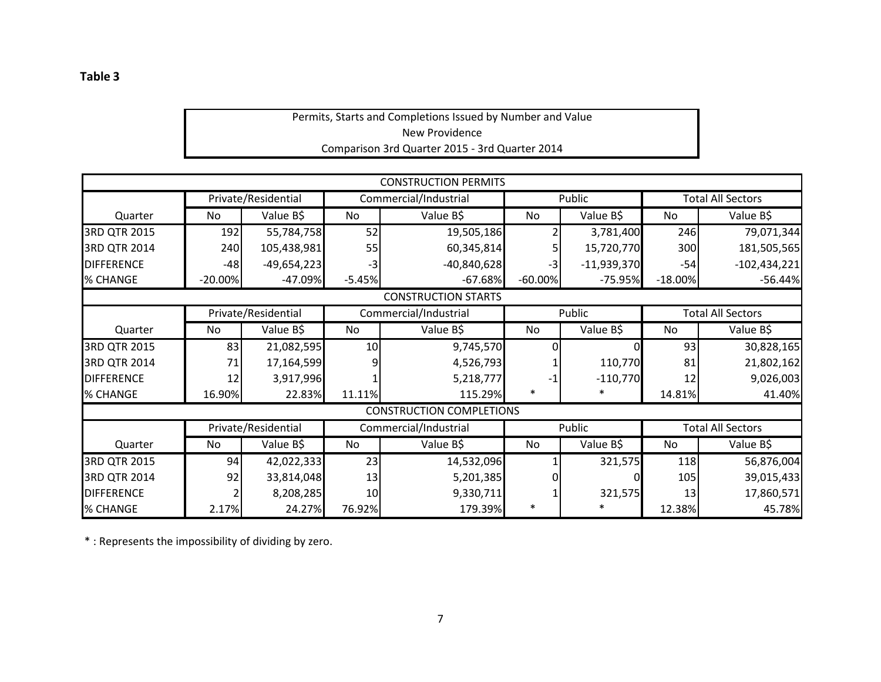## Permits, Starts and Completions Issued by Number and Value New Providence Comparison 3rd Quarter 2015 ‐ 3rd Quarter 2014

|                   |           |                     |                 | <b>CONSTRUCTION PERMITS</b>     |            |               |                          |                          |  |
|-------------------|-----------|---------------------|-----------------|---------------------------------|------------|---------------|--------------------------|--------------------------|--|
|                   |           | Private/Residential |                 | Commercial/Industrial           |            | Public        |                          | <b>Total All Sectors</b> |  |
| Quarter           | No        | Value B\$           | No              | Value B\$                       | No         | Value B\$     | No                       | Value B\$                |  |
| 3RD QTR 2015      | 192       | 55,784,758          | 52              | 19,505,186                      |            | 3,781,400     | 246                      | 79,071,344               |  |
| 3RD QTR 2014      | 240       | 105,438,981         | 55              | 60,345,814                      |            | 15,720,770    | 300                      | 181,505,565              |  |
| <b>DIFFERENCE</b> | $-48$     | $-49,654,223$       | $-3$            | $-40,840,628$                   | $-3$       | $-11,939,370$ | $-54$                    | $-102,434,221$           |  |
| % CHANGE          | $-20.00%$ | $-47.09%$           | $-5.45%$        | $-67.68%$                       | $-60.00\%$ | $-75.95%$     | $-18.00%$                | $-56.44%$                |  |
|                   |           |                     |                 | <b>CONSTRUCTION STARTS</b>      |            |               |                          |                          |  |
|                   |           | Private/Residential |                 | Commercial/Industrial           |            | Public        | <b>Total All Sectors</b> |                          |  |
| Quarter           | No        | Value B\$           | No              | Value B\$                       | <b>No</b>  | Value B\$     | No                       | Value B\$                |  |
| 3RD QTR 2015      | 83        | 21,082,595          | 10 <sup>1</sup> | 9,745,570                       |            |               | 93                       | 30,828,165               |  |
| 3RD QTR 2014      | 71        | 17,164,599          |                 | 4,526,793                       |            | 110,770       | 81                       | 21,802,162               |  |
| <b>DIFFERENCE</b> | 12        | 3,917,996           |                 | 5,218,777                       | $-1$       | $-110,770$    | 12                       | 9,026,003                |  |
| % CHANGE          | 16.90%    | 22.83%              | 11.11%          | 115.29%                         | $\ast$     | ∗             | 14.81%                   | 41.40%                   |  |
|                   |           |                     |                 | <b>CONSTRUCTION COMPLETIONS</b> |            |               |                          |                          |  |
|                   |           | Private/Residential |                 | Commercial/Industrial           | Public     |               |                          | <b>Total All Sectors</b> |  |
| Quarter           | No        | Value B\$           | No.             | Value B\$                       | <b>No</b>  | Value B\$     | No                       | Value B\$                |  |
| 3RD QTR 2015      | 94        | 42,022,333          | 23              | 14,532,096                      |            | 321,575       | 118                      | 56,876,004               |  |
| 3RD QTR 2014      | 92        | 33,814,048          | 13              | 5,201,385                       |            |               | 105                      | 39,015,433               |  |
| <b>DIFFERENCE</b> |           | 8,208,285           | 10              | 9,330,711                       |            | 321,575       | 13                       | 17,860,571               |  |
| % CHANGE          | 2.17%     | 24.27%              | 76.92%          | 179.39%                         |            |               | 12.38%                   | 45.78%                   |  |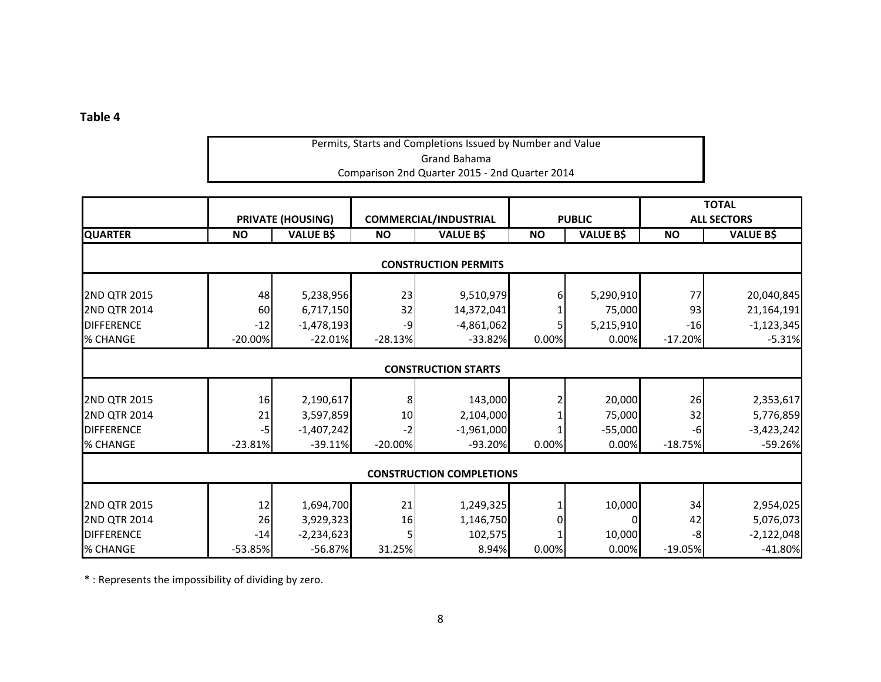## Permits, Starts and Completions Issued by Number and Value Grand Bahama Comparison 2nd Quarter 2015 ‐ 2nd Quarter 2014

|                     |           |                          |           |                                 |           |                  |           | <b>TOTAL</b>       |
|---------------------|-----------|--------------------------|-----------|---------------------------------|-----------|------------------|-----------|--------------------|
|                     |           | <b>PRIVATE (HOUSING)</b> |           | <b>COMMERCIAL/INDUSTRIAL</b>    |           | <b>PUBLIC</b>    |           | <b>ALL SECTORS</b> |
| <b>QUARTER</b>      | <b>NO</b> | <b>VALUE B\$</b>         | <b>NO</b> | <b>VALUE B\$</b>                | <b>NO</b> | <b>VALUE B\$</b> | <b>NO</b> | <b>VALUE B\$</b>   |
|                     |           |                          |           | <b>CONSTRUCTION PERMITS</b>     |           |                  |           |                    |
| 2ND QTR 2015        | 48        | 5,238,956                | 23        | 9,510,979                       |           | 5,290,910        | 77        | 20,040,845         |
| 2ND QTR 2014        | 60        | 6,717,150                | 32        | 14,372,041                      |           | 75,000           | 93        | 21,164,191         |
| <b>DIFFERENCE</b>   | $-12$     | $-1,478,193$             | $-9$      | $-4,861,062$                    |           | 5,215,910        | $-16$     | $-1,123,345$       |
| % CHANGE            | $-20.00%$ | $-22.01\%$               | $-28.13%$ | $-33.82%$                       | 0.00%     | 0.00%            | $-17.20%$ | $-5.31%$           |
|                     |           |                          |           |                                 |           |                  |           |                    |
|                     |           |                          |           | <b>CONSTRUCTION STARTS</b>      |           |                  |           |                    |
| 2ND QTR 2015        | 16        | 2,190,617                | 8         | 143,000                         |           | 20,000           | 26        | 2,353,617          |
| 2ND QTR 2014        | 21        | 3,597,859                | 10        | 2,104,000                       |           | 75,000           | 32        | 5,776,859          |
| <b>DIFFERENCE</b>   | $-5$      | $-1,407,242$             | -2        | $-1,961,000$                    |           | $-55,000$        | $-6$      | $-3,423,242$       |
| % CHANGE            | $-23.81%$ | $-39.11\%$               | $-20.00%$ | $-93.20%$                       | 0.00%     | 0.00%            | $-18.75%$ | $-59.26%$          |
|                     |           |                          |           | <b>CONSTRUCTION COMPLETIONS</b> |           |                  |           |                    |
|                     |           |                          |           |                                 |           |                  |           |                    |
| <b>2ND QTR 2015</b> | 12        | 1,694,700                | 21        | 1,249,325                       |           | 10,000           | 34        | 2,954,025          |
| <b>2ND QTR 2014</b> | 26        | 3,929,323                | 16        | 1,146,750                       |           |                  | 42        | 5,076,073          |
| <b>DIFFERENCE</b>   | $-14$     | $-2,234,623$             |           | 102,575                         |           | 10,000           | -8        | $-2,122,048$       |
| % CHANGE            | $-53.85%$ | $-56.87\%$               | 31.25%    | 8.94%                           | 0.00%     | 0.00%            | $-19.05%$ | $-41.80%$          |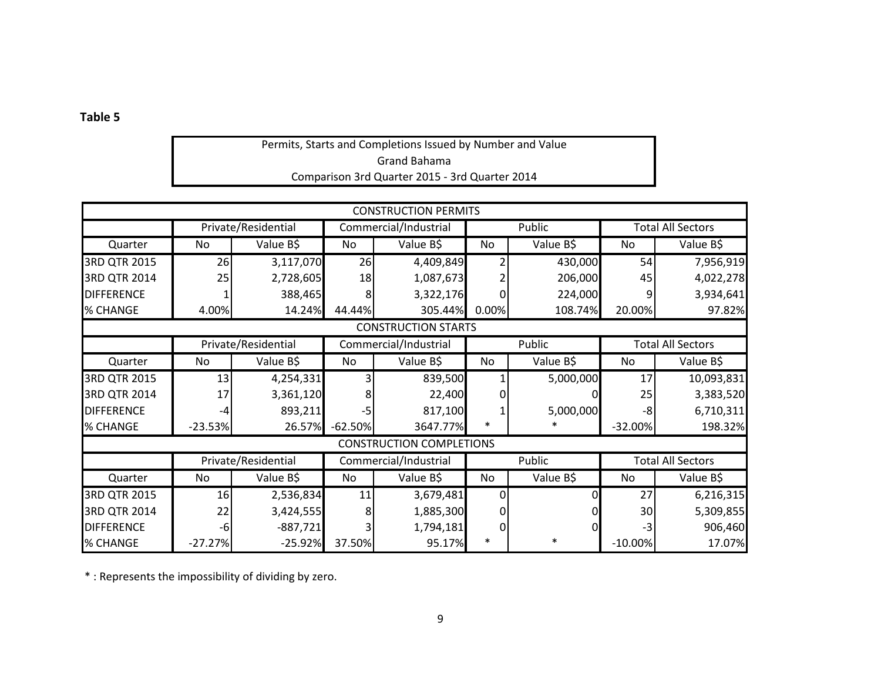## Permits, Starts and Completions Issued by Number and Value Grand Bahama Comparison 3rd Quarter 2015 ‐ 3rd Quarter 2014

|                   |           |                     |              | <b>CONSTRUCTION PERMITS</b>     |              |           |           |                          |
|-------------------|-----------|---------------------|--------------|---------------------------------|--------------|-----------|-----------|--------------------------|
|                   |           | Private/Residential |              | Commercial/Industrial           |              | Public    |           | <b>Total All Sectors</b> |
| Quarter           | No        | Value B\$           | No           | Value B\$                       | No           | Value B\$ | No        | Value B\$                |
| 3RD QTR 2015      | 26        | 3,117,070           | 26           | 4,409,849                       |              | 430,000   | 54        | 7,956,919                |
| 3RD QTR 2014      | 25        | 2,728,605           | 18           | 1,087,673                       |              | 206,000   | 45        | 4,022,278                |
| <b>DIFFERENCE</b> |           | 388,465             | 8            | 3,322,176                       |              | 224,000   |           | 3,934,641                |
| % CHANGE          | 4.00%     | 14.24%              | 44.44%       | 305.44%                         | 0.00%        | 108.74%   | 20.00%    | 97.82%                   |
|                   |           |                     |              | <b>CONSTRUCTION STARTS</b>      |              |           |           |                          |
|                   |           | Private/Residential |              | Commercial/Industrial           |              | Public    |           | <b>Total All Sectors</b> |
| Quarter           | No        | Value B\$           | No           | Value B\$                       | No           | Value B\$ | No        | Value B\$                |
| 3RD QTR 2015      | 13        | 4,254,331           |              | 839,500                         |              | 5,000,000 | 17        | 10,093,831               |
| 3RD QTR 2014      | 17        | 3,361,120           | 8            | 22,400                          |              |           | 25        | 3,383,520                |
| <b>DIFFERENCE</b> | -4        | 893,211             | -5           | 817,100                         |              | 5,000,000 | -8        | 6,710,311                |
| % CHANGE          | $-23.53%$ | 26.57%              | $-62.50%$    | 3647.77%                        | $\ast$       |           | $-32.00%$ | 198.32%                  |
|                   |           |                     |              | <b>CONSTRUCTION COMPLETIONS</b> |              |           |           |                          |
|                   |           | Private/Residential |              | Commercial/Industrial           |              | Public    |           | <b>Total All Sectors</b> |
| Quarter           | No        | Value B\$           | No.          | Value B\$                       | No           | Value B\$ | No        | Value B\$                |
| 3RD QTR 2015      | 16        | 2,536,834           | 11           | 3,679,481                       | <sup>0</sup> |           | 27        | 6,216,315                |
| 3RD QTR 2014      | 22        | 3,424,555           | $\mathsf{8}$ | 1,885,300                       | <sup>0</sup> |           | 30        | 5,309,855                |
| <b>DIFFERENCE</b> | $-6$      | $-887,721$          |              | 1,794,181                       | $\Omega$     | O         | $-3$      | 906,460                  |
| % CHANGE          | $-27.27%$ | $-25.92%$           | 37.50%       | 95.17%                          | $\ast$       | $\ast$    | $-10.00%$ | 17.07%                   |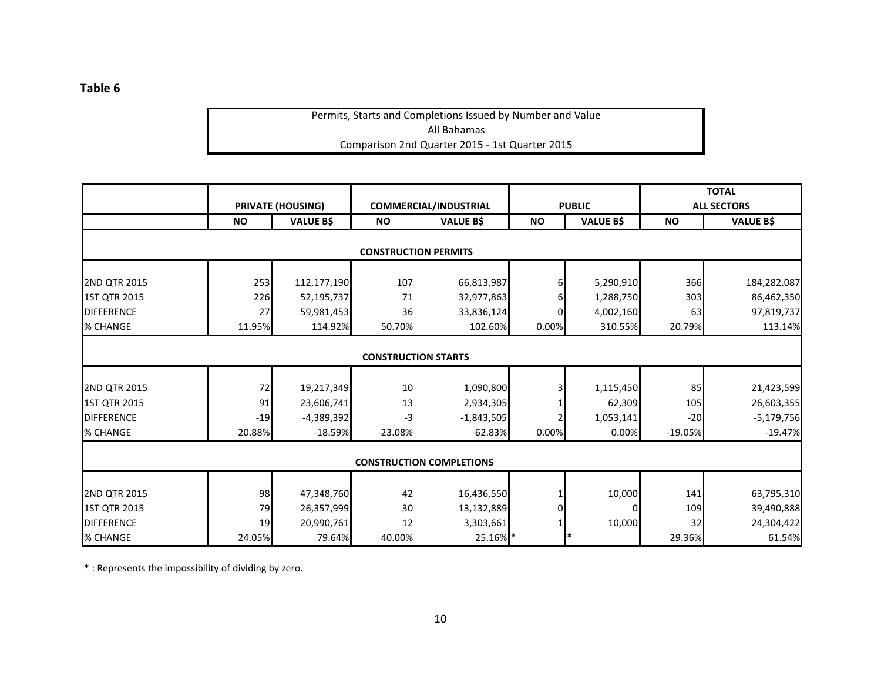## Permits, Starts and Completions Issued by Number and Value All Bahamas Comparison 2nd Quarter 2015 ‐ 1st Quarter 2015

|                     |           |                          |                            |                                 |           |                  |           | <b>TOTAL</b>       |
|---------------------|-----------|--------------------------|----------------------------|---------------------------------|-----------|------------------|-----------|--------------------|
|                     |           | <b>PRIVATE (HOUSING)</b> |                            | <b>COMMERCIAL/INDUSTRIAL</b>    |           | <b>PUBLIC</b>    |           | <b>ALL SECTORS</b> |
|                     | <b>NO</b> | <b>VALUE B\$</b>         | <b>NO</b>                  | <b>VALUE B\$</b>                | <b>NO</b> | <b>VALUE B\$</b> | <b>NO</b> | <b>VALUE B\$</b>   |
|                     |           |                          |                            |                                 |           |                  |           |                    |
|                     |           |                          |                            | <b>CONSTRUCTION PERMITS</b>     |           |                  |           |                    |
| <b>2ND QTR 2015</b> | 253       | 112,177,190              | 107                        | 66,813,987                      |           | 5,290,910        | 366       | 184,282,087        |
| 1ST QTR 2015        | 226       | 52,195,737               | 71                         | 32,977,863                      |           | 1,288,750        | 303       | 86,462,350         |
| <b>DIFFERENCE</b>   | 27        | 59,981,453               | 36                         | 33,836,124                      |           | 4,002,160        | 63        | 97,819,737         |
| % CHANGE            | 11.95%    | 114.92%                  | 50.70%                     | 102.60%                         | 0.00%     | 310.55%          | 20.79%    | 113.14%            |
|                     |           |                          |                            |                                 |           |                  |           |                    |
|                     |           |                          | <b>CONSTRUCTION STARTS</b> |                                 |           |                  |           |                    |
|                     |           |                          |                            |                                 |           |                  |           |                    |
| 2ND QTR 2015        | 72        | 19,217,349               | 10                         | 1,090,800                       |           | 1,115,450        | 85        | 21,423,599         |
| 1ST QTR 2015        | 91        | 23,606,741               | 13                         | 2,934,305                       |           | 62,309           | 105       | 26,603,355         |
| <b>DIFFERENCE</b>   | $-19$     | $-4,389,392$             | $-3$                       | $-1,843,505$                    |           | 1,053,141        | $-20$     | $-5,179,756$       |
| % CHANGE            | $-20.88%$ | $-18.59%$                | $-23.08%$                  | $-62.83%$                       | 0.00%     | 0.00%            | $-19.05%$ | $-19.47%$          |
|                     |           |                          |                            |                                 |           |                  |           |                    |
|                     |           |                          |                            | <b>CONSTRUCTION COMPLETIONS</b> |           |                  |           |                    |
|                     |           |                          |                            |                                 |           |                  |           |                    |
| 2ND QTR 2015        | 98        | 47,348,760               | 42                         | 16,436,550                      |           | 10,000           | 141       | 63,795,310         |
| 1ST QTR 2015        | 79        | 26,357,999               | 30                         | 13,132,889                      |           |                  | 109       | 39,490,888         |
| <b>DIFFERENCE</b>   | 19        | 20,990,761               | 12                         | 3,303,661                       |           | 10,000           | 32        | 24,304,422         |
| % CHANGE            | 24.05%    | 79.64%                   | 40.00%                     | 25.16%                          |           |                  | 29.36%    | 61.54%             |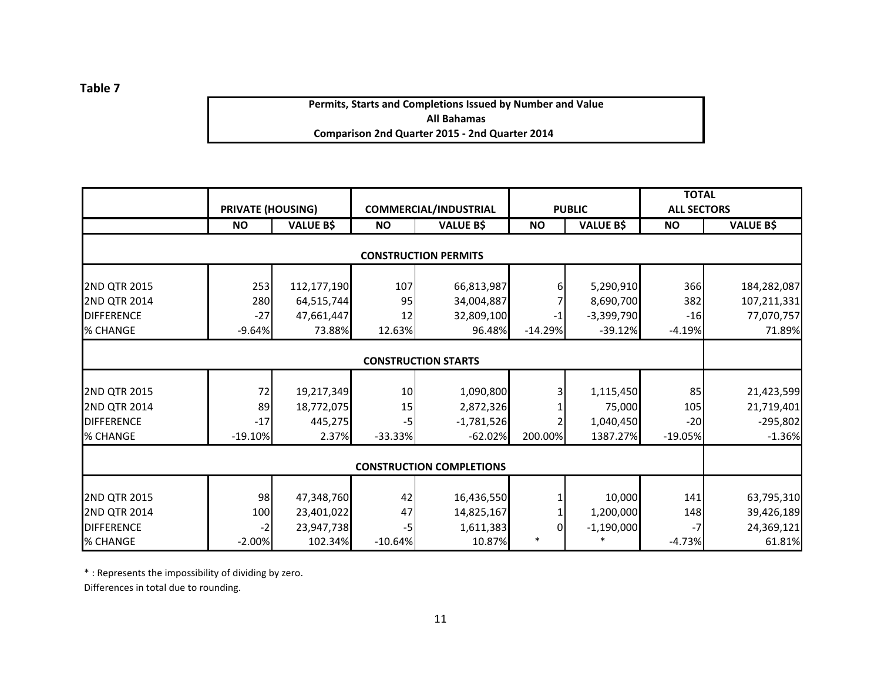**Permits, Starts and Completions Issued by Number and Value All Bahamas Comparison 2nd Quarter 2015 ‐ 2nd Quarter 2014**

|                     | <b>PRIVATE (HOUSING)</b> |                  |           | <b>COMMERCIAL/INDUSTRIAL</b>    |                    | <b>PUBLIC</b>          | <b>TOTAL</b><br><b>ALL SECTORS</b> |                  |
|---------------------|--------------------------|------------------|-----------|---------------------------------|--------------------|------------------------|------------------------------------|------------------|
|                     | <b>NO</b>                | <b>VALUE B\$</b> | <b>NO</b> | <b>VALUE B\$</b>                | <b>NO</b>          | <b>VALUE B\$</b>       | <b>NO</b>                          | <b>VALUE B\$</b> |
|                     |                          |                  |           |                                 |                    |                        |                                    |                  |
|                     |                          |                  |           | <b>CONSTRUCTION PERMITS</b>     |                    |                        |                                    |                  |
| 2ND QTR 2015        | 253                      | 112,177,190      | 107       | 66,813,987                      | 6                  | 5,290,910              | 366                                | 184,282,087      |
| <b>2ND QTR 2014</b> | 280                      | 64,515,744       | 95        | 34,004,887                      |                    | 8,690,700              | 382                                | 107,211,331      |
| <b>DIFFERENCE</b>   | $-27$                    | 47,661,447       | 12        | 32,809,100                      | $-1$               | $-3,399,790$           | $-16$                              | 77,070,757       |
| % CHANGE            | $-9.64%$                 | 73.88%           | 12.63%    | 96.48%                          | $-14.29%$          | $-39.12%$              | $-4.19%$                           | 71.89%           |
|                     |                          |                  |           |                                 |                    |                        |                                    |                  |
|                     |                          |                  |           | <b>CONSTRUCTION STARTS</b>      |                    |                        |                                    |                  |
|                     |                          |                  |           |                                 |                    |                        |                                    |                  |
| <b>2ND QTR 2015</b> | 72                       | 19,217,349       | 10        | 1,090,800                       | 3                  | 1,115,450              | 85                                 | 21,423,599       |
| <b>2ND QTR 2014</b> | 89                       | 18,772,075       | 15        | 2,872,326                       |                    | 75,000                 | 105                                | 21,719,401       |
| <b>DIFFERENCE</b>   | $-17$                    | 445,275          | $-5$      | $-1,781,526$                    |                    | 1,040,450              | $-20$                              | $-295,802$       |
| % CHANGE            | $-19.10%$                | 2.37%            | $-33.33%$ | $-62.02%$                       | 200.00%            | 1387.27%               | $-19.05%$                          | $-1.36%$         |
|                     |                          |                  |           |                                 |                    |                        |                                    |                  |
|                     |                          |                  |           | <b>CONSTRUCTION COMPLETIONS</b> |                    |                        |                                    |                  |
| 2ND QTR 2015        | 98                       |                  |           |                                 |                    | 10,000                 | 141                                |                  |
|                     |                          | 47,348,760       | 42        | 16,436,550                      |                    |                        |                                    | 63,795,310       |
| <b>2ND QTR 2014</b> | 100                      | 23,401,022       | 47        | 14,825,167                      |                    | 1,200,000              | 148                                | 39,426,189       |
| <b>DIFFERENCE</b>   | -2                       | 23,947,738       | -5        | 1,611,383                       | $\Omega$<br>$\ast$ | $-1,190,000$<br>$\ast$ | -7                                 | 24,369,121       |
| % CHANGE            | $-2.00%$                 | 102.34%          | $-10.64%$ | 10.87%                          |                    |                        | $-4.73%$                           | 61.81%           |

\* : Represents the impossibility of dividing by zero.

Differences in total due to rounding.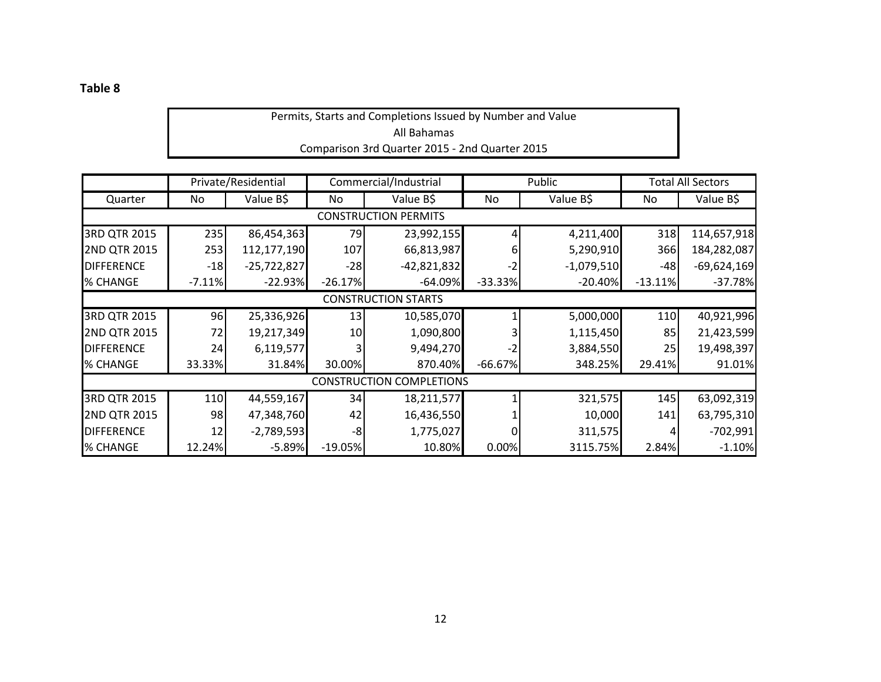## Permits, Starts and Completions Issued by Number and Value All Bahamas Comparison 3rd Quarter 2015 ‐ 2nd Quarter 2015

|                   |          | Private/Residential |           | Commercial/Industrial           |           | Public       |           | <b>Total All Sectors</b> |
|-------------------|----------|---------------------|-----------|---------------------------------|-----------|--------------|-----------|--------------------------|
| Quarter           | No       | Value B\$           | No        | Value B\$                       | No        | Value B\$    | No        | Value B\$                |
|                   |          |                     |           | <b>CONSTRUCTION PERMITS</b>     |           |              |           |                          |
| 3RD QTR 2015      | 235      | 86,454,363          | 79        | 23,992,155                      |           | 4,211,400    | 318       | 114,657,918              |
| 2ND QTR 2015      | 253      | 112,177,190         | 107       | 66,813,987                      | 6         | 5,290,910    | 366       | 184,282,087              |
| <b>DIFFERENCE</b> | $-18$    | $-25,722,827$       | $-28$     | $-42,821,832$                   | -2        | $-1,079,510$ | $-48$     | $-69,624,169$            |
| % CHANGE          | $-7.11%$ | $-22.93%$           | $-26.17%$ | $-64.09%$                       | $-33.33%$ | $-20.40%$    | $-13.11%$ | $-37.78%$                |
|                   |          |                     |           | <b>CONSTRUCTION STARTS</b>      |           |              |           |                          |
| 3RD QTR 2015      | 96       | 25,336,926          | 13        | 10,585,070                      |           | 5,000,000    | 110       | 40,921,996               |
| 2ND QTR 2015      | 72       | 19,217,349          | 10        | 1,090,800                       |           | 1,115,450    | 85        | 21,423,599               |
| <b>DIFFERENCE</b> | 24       | 6,119,577           |           | 9,494,270                       | -2        | 3,884,550    | 25        | 19,498,397               |
| % CHANGE          | 33.33%   | 31.84%              | 30.00%    | 870.40%                         | $-66.67%$ | 348.25%      | 29.41%    | 91.01%                   |
|                   |          |                     |           | <b>CONSTRUCTION COMPLETIONS</b> |           |              |           |                          |
| 3RD QTR 2015      | 110      | 44,559,167          | 34        | 18,211,577                      |           | 321,575      | 145       | 63,092,319               |
| 2ND QTR 2015      | 98       | 47,348,760          | 42        | 16,436,550                      |           | 10,000       | 141       | 63,795,310               |
| <b>DIFFERENCE</b> | 12       | $-2,789,593$        | -8        | 1,775,027                       |           | 311,575      |           | $-702,991$               |
| % CHANGE          | 12.24%   | $-5.89%$            | $-19.05%$ | 10.80%                          | 0.00%     | 3115.75%     | 2.84%     | $-1.10%$                 |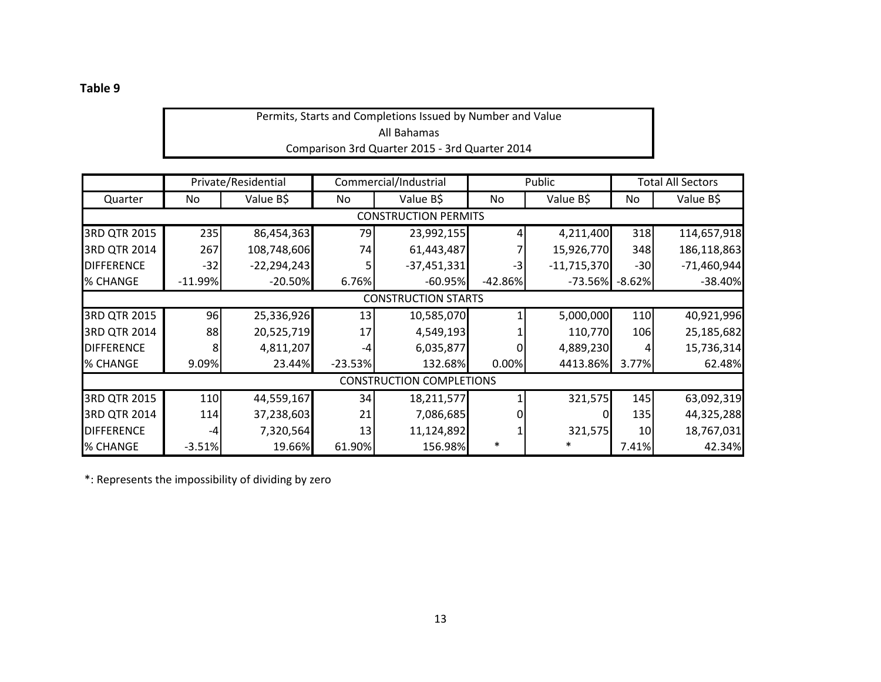Permits, Starts and Completions Issued by Number and Value All Bahamas Comparison 3rd Quarter 2015 ‐ 3rd Quarter 2014

|                             |           | Private/Residential |           | Commercial/Industrial           |           | Public        |          | <b>Total All Sectors</b> |  |
|-----------------------------|-----------|---------------------|-----------|---------------------------------|-----------|---------------|----------|--------------------------|--|
| Quarter                     | No        | Value B\$           | No.       | Value B\$                       | No.       | Value B\$     | No       | Value B\$                |  |
| <b>CONSTRUCTION PERMITS</b> |           |                     |           |                                 |           |               |          |                          |  |
| 3RD QTR 2015                | 235       | 86,454,363          | 79        | 23,992,155                      |           | 4,211,400     | 318      | 114,657,918              |  |
| 3RD QTR 2014                | 267       | 108,748,606         | 74        | 61,443,487                      |           | 15,926,770    | 348      | 186,118,863              |  |
| <b>DIFFERENCE</b>           | $-32$     | $-22,294,243$       |           | $-37,451,331$                   | -3        | $-11,715,370$ | $-30$    | $-71,460,944$            |  |
| % CHANGE                    | $-11.99%$ | $-20.50%$           | 6.76%     | $-60.95%$                       | $-42.86%$ | $-73.56\%$    | $-8.62%$ | $-38.40%$                |  |
|                             |           |                     |           | <b>CONSTRUCTION STARTS</b>      |           |               |          |                          |  |
| 3RD QTR 2015                | 96        | 25,336,926          | 13        | 10,585,070                      |           | 5,000,000     | 110      | 40,921,996               |  |
| 3RD QTR 2014                | 88        | 20,525,719          | 17        | 4,549,193                       |           | 110,770       | 106      | 25,185,682               |  |
| <b>DIFFERENCE</b>           | 8         | 4,811,207           | -4        | 6,035,877                       |           | 4,889,230     |          | 15,736,314               |  |
| % CHANGE                    | 9.09%     | 23.44%              | $-23.53%$ | 132.68%                         | 0.00%     | 4413.86%      | 3.77%    | 62.48%                   |  |
|                             |           |                     |           | <b>CONSTRUCTION COMPLETIONS</b> |           |               |          |                          |  |
| 3RD QTR 2015                | 110       | 44,559,167          | 34        | 18,211,577                      |           | 321,575       | 145      | 63,092,319               |  |
| 3RD QTR 2014                | 114       | 37,238,603          | 21        | 7,086,685                       |           |               | 135      | 44,325,288               |  |
| <b>DIFFERENCE</b>           | $-4$      | 7,320,564           | 13        | 11,124,892                      |           | 321,575       | 10       | 18,767,031               |  |
| % CHANGE                    | $-3.51%$  | 19.66%              | 61.90%    | 156.98%                         |           |               | 7.41%    | 42.34%                   |  |

\*: Represents the impossibility of dividing by zero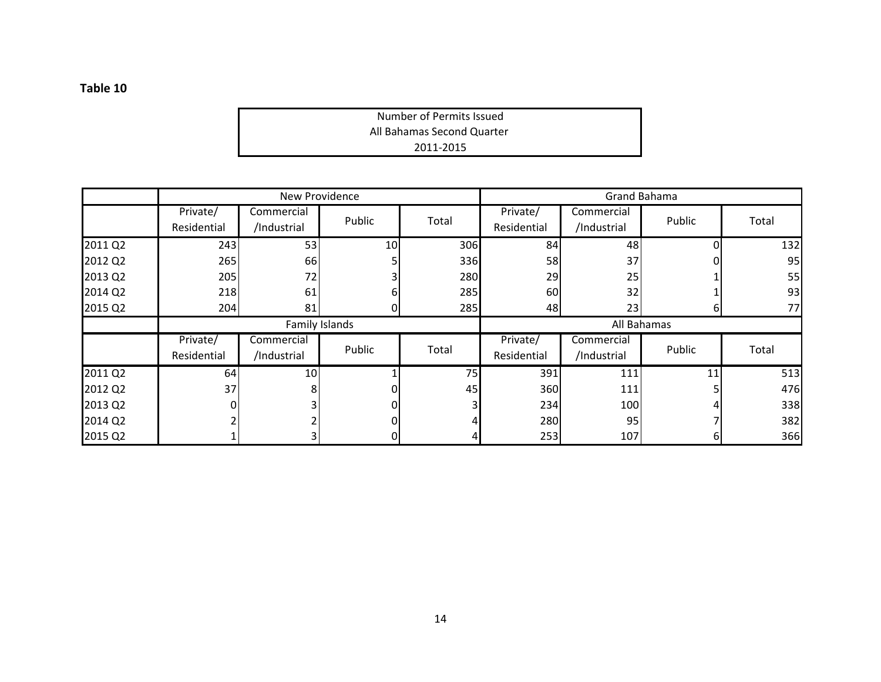2011‐2015 All Bahamas Second Quarter Number of Permits Issued

|         |                         | New Providence            |                 |       |                         | Grand Bahama              |        |       |
|---------|-------------------------|---------------------------|-----------------|-------|-------------------------|---------------------------|--------|-------|
|         | Private/<br>Residential | Commercial<br>/Industrial | Public          | Total | Private/<br>Residential | Commercial<br>/Industrial | Public | Total |
| 2011 Q2 | 243                     | 53                        | 10 <sup>1</sup> | 306   | 84                      | 48                        | 0      | 132   |
| 2012 Q2 | 265                     | 66                        |                 | 336   | 58                      | 37                        |        | 95    |
| 2013 Q2 | 205                     | 72                        |                 | 280   | 29                      | 25                        |        | 55    |
| 2014 Q2 | 218                     | 61                        |                 | 285   | 60                      | 32                        |        | 93    |
| 2015 Q2 | 204                     | 81                        |                 | 285   | 48                      | 23                        | b      | 77    |
|         |                         | Family Islands            |                 |       |                         | All Bahamas               |        |       |
|         | Private/<br>Residential | Commercial<br>/Industrial | Public          | Total | Private/<br>Residential | Commercial<br>/Industrial | Public | Total |
| 2011 Q2 | 64                      | 10 <sup>1</sup>           |                 | 75    | 391                     | 111                       | 11     | 513   |
| 2012 Q2 | 37                      | 81                        |                 | 45    | 360                     | 111                       |        | 476   |
| 2013 Q2 |                         | ่ว∣                       |                 |       | 234                     | 100                       |        | 338   |
| 2014 Q2 |                         |                           |                 |       | 280                     | 95                        |        | 382   |
| 2015 Q2 |                         | 31                        |                 |       | 253                     | 107                       | 61     | 366   |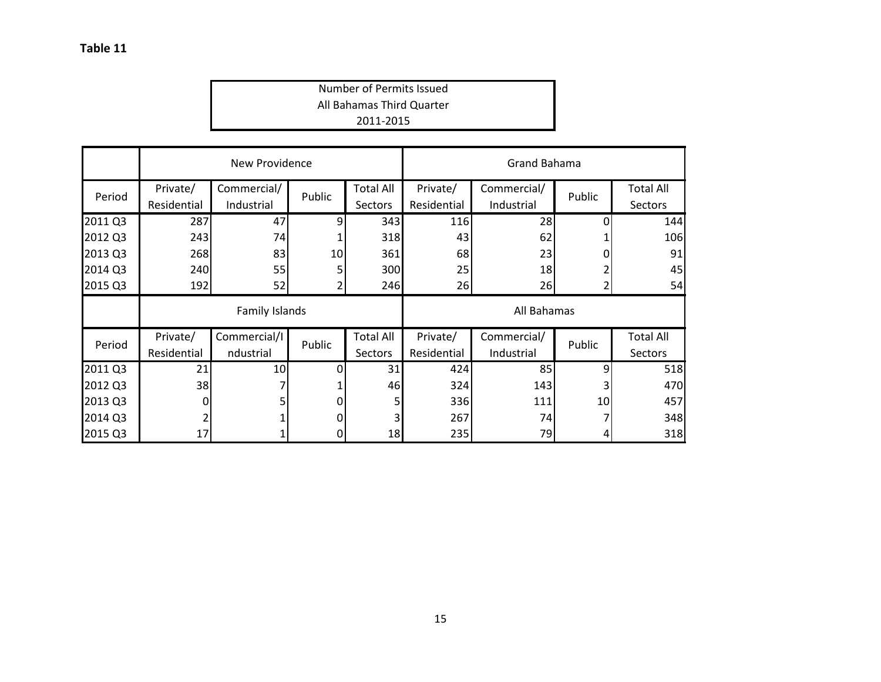## All Bahamas Third Quarter Number of Permits Issued 2011‐2015

|         | New Providence          |                           |        |                                    | <b>Grand Bahama</b>     |                           |        |                                    |
|---------|-------------------------|---------------------------|--------|------------------------------------|-------------------------|---------------------------|--------|------------------------------------|
| Period  | Private/<br>Residential | Commercial/<br>Industrial | Public | <b>Total All</b><br><b>Sectors</b> | Private/<br>Residential | Commercial/<br>Industrial | Public | <b>Total All</b><br><b>Sectors</b> |
| 2011 Q3 | 287                     | 47                        | 9      | 343                                | 116                     | 28                        | O      | 144                                |
| 2012 Q3 | 243                     | 74                        |        | 318                                | 43                      | 62                        |        | 106                                |
| 2013 Q3 | 268                     | 83                        | 10     | 361                                | 68                      | 23                        |        | 91                                 |
| 2014 Q3 | 240                     | 55                        |        | 300                                | 25                      | 18                        |        | 45                                 |
| 2015 Q3 | 192                     | 52                        | 2      | 246                                | 26                      | 26                        |        | 54                                 |
|         | Family Islands          |                           |        |                                    | All Bahamas             |                           |        |                                    |
| Period  | Private/                | Commercial/I              | Public | <b>Total All</b>                   | Private/                | Commercial/               | Public | <b>Total All</b>                   |
|         | Residential             | ndustrial                 |        | <b>Sectors</b>                     | Residential             | Industrial                |        | Sectors                            |
| 2011 Q3 | 21                      | 10                        | 0      | 31                                 | 424                     | 85                        | 9      | 518                                |
| 2012 Q3 | 38                      |                           |        | 46                                 | 324                     | 143                       |        | 470                                |
| 2013 Q3 | 0                       | 5                         | 0      | 5 <sub>l</sub>                     | 336                     | 111                       | 10     | 457                                |
| 2014 Q3 |                         |                           | 0      | 3                                  | 267                     | 74                        |        | 348                                |
| 2015 Q3 | 17                      |                           | 0      | 18                                 | 235                     | 79                        |        | 318                                |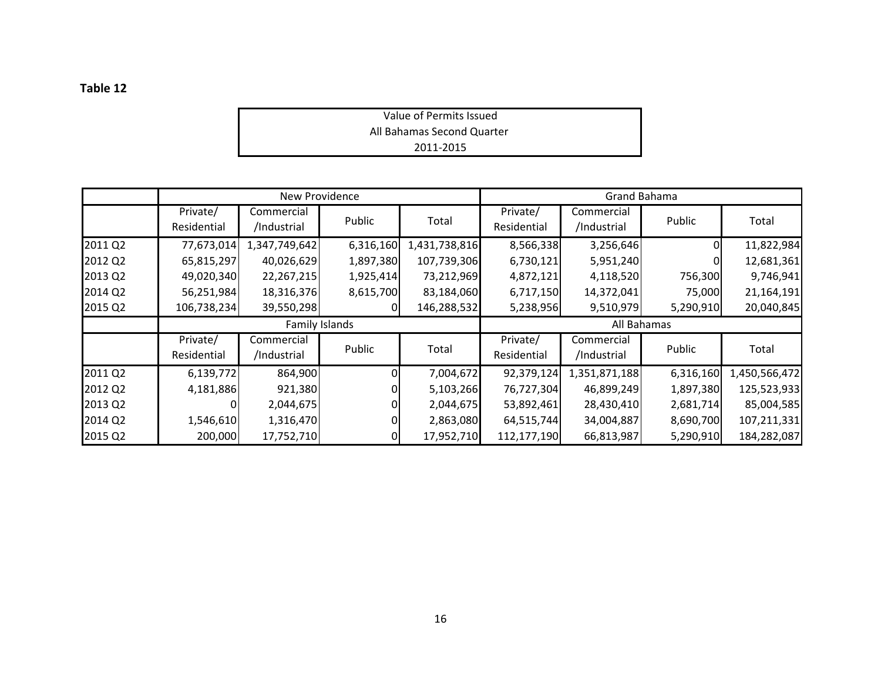Value of Permits Issued All Bahamas Second Quarter 2011‐2015

|         | New Providence          |                           |           |               | Grand Bahama            |                           |           |               |
|---------|-------------------------|---------------------------|-----------|---------------|-------------------------|---------------------------|-----------|---------------|
|         | Private/<br>Residential | Commercial<br>/Industrial | Public    | Total         | Private/<br>Residential | Commercial<br>/Industrial | Public    | Total         |
| 2011 Q2 | 77,673,014              | 1,347,749,642             | 6,316,160 | 1,431,738,816 | 8,566,338               | 3,256,646                 |           | 11,822,984    |
| 2012 Q2 | 65,815,297              | 40,026,629                | 1,897,380 | 107,739,306   | 6,730,121               | 5,951,240                 |           | 12,681,361    |
| 2013 Q2 | 49,020,340              | 22,267,215                | 1,925,414 | 73,212,969    | 4,872,121               | 4,118,520                 | 756,300   | 9,746,941     |
| 2014 Q2 | 56,251,984              | 18,316,376                | 8,615,700 | 83,184,060    | 6,717,150               | 14,372,041                | 75,000    | 21,164,191    |
| 2015 Q2 | 106,738,234             | 39,550,298                |           | 146,288,532   | 5,238,956               | 9,510,979                 | 5,290,910 | 20,040,845    |
|         | Family Islands          |                           |           |               | All Bahamas             |                           |           |               |
|         | Private/<br>Residential | Commercial<br>/Industrial | Public    | Total         | Private/<br>Residential | Commercial<br>/Industrial | Public    | Total         |
| 2011 Q2 | 6,139,772               | 864,900                   |           | 7,004,672     | 92,379,124              | 1,351,871,188             | 6,316,160 | 1,450,566,472 |
| 2012 Q2 | 4,181,886               | 921,380                   |           | 5,103,266     | 76,727,304              | 46,899,249                | 1,897,380 | 125,523,933   |
| 2013 Q2 |                         | 2,044,675                 |           | 2,044,675     | 53,892,461              | 28,430,410                | 2,681,714 | 85,004,585    |
| 2014 Q2 | 1,546,610               | 1,316,470                 |           | 2,863,080     | 64,515,744              | 34,004,887                | 8,690,700 | 107,211,331   |
| 2015 Q2 | 200,000                 | 17,752,710                |           | 17,952,710    | 112,177,190             | 66,813,987                | 5,290,910 | 184,282,087   |